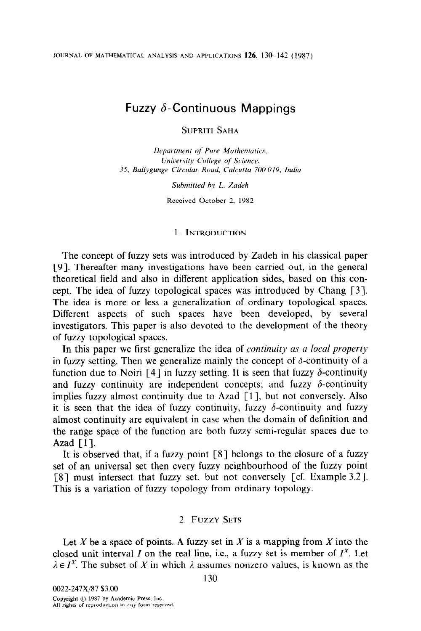JOURNAL OF MATHEMATICAL ANALYSIS AND APPLICATIONS 126, 130-142 (1987).

# Fuzzy  $\delta$ -Continuous Mappings

SUPRITI SAHA

Department of Pure Mathematics, University College of Science, 35, Ballygunge Circular Road, Calcutta 700 019, India

Submitted by L. Zadeh

Received October 2, 1982

### 1. INTRODUCTION

The concept of fuzzy sets was introduced by Zadeh in his classical paper 191. Thereafter many investigations have been carried out, in the general theoretical field and also in different application sides, based on this concept. The idea of fuzzy topological spaces was introduced by Chang [3]. The idea is more or less a generalization of ordinary topological spaces. Different aspects of such spaces have been developed, by several investigators. This paper is also devoted to the development of the theory of fuzzy topological spaces.

In this paper we first generalize the idea of *continuity as a local property* in fuzzy setting. Then we generalize mainly the concept of  $\delta$ -continuity of a function due to Noiri [4] in fuzzy setting. It is seen that fuzzy  $\delta$ -continuity and fuzzy continuity are independent concepts; and fuzzy  $\delta$ -continuity implies fuzzy almost continuity due to Azad [1], but not conversely. Also it is seen that the idea of fuzzy continuity, fuzzy  $\delta$ -continuity and fuzzy almost continuity are equivalent in case when the domain of definition and the range space of the function are both fuzzy semi-regular spaces due to Azad  $[1]$ .

It is observed that, if a fuzzy point [8] belongs to the closure of a fuzzy set of an universal set then every fuzzy neighbourhood of the fuzzy point [S] must intersect that fuzzy set, but not conversely [cf. Example 3.2). This is a variation of fuzzy topology from ordinary topology.

## 2. FUZZY SETS

Let X be a space of points. A fuzzy set in X is a mapping from X into the closed unit interval I on the real line, i.e., a fuzzy set is member of  $I^X$ . Let  $\lambda \in I^X$ . The subset of X in which  $\lambda$  assumes nonzero values, is known as the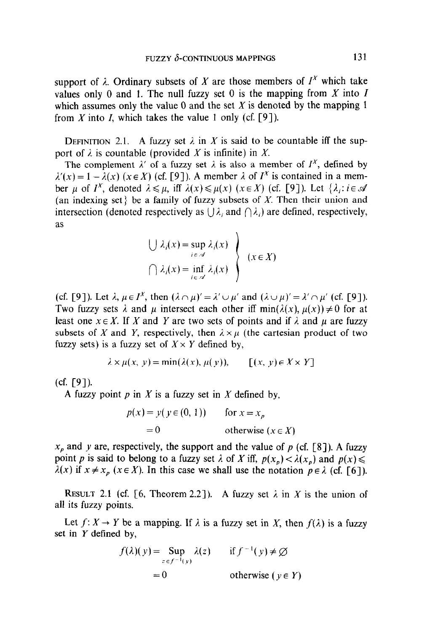support of  $\lambda$ . Ordinary subsets of X are those members of  $I^X$  which take values only 0 and 1. The null fuzzy set 0 is the mapping from  $X$  into  $I$ which assumes only the value 0 and the set  $X$  is denoted by the mapping 1 from X into I, which takes the value 1 only (cf. [9]).

DEFINITION 2.1. A fuzzy set  $\lambda$  in X is said to be countable iff the support of  $\lambda$  is countable (provided X is infinite) in X.

The complement  $\lambda'$  of a fuzzy set  $\lambda$  is also a member of  $I^X$ , defined by  $\lambda'(x) = 1 - \lambda(x)$  (x \ie X) (cf. [9]). A member  $\lambda$  of  $I^x$  is contained in a member  $\mu$  of  $I^X$ , denoted  $\lambda \leq \mu$ , iff  $\lambda(x) \leq \mu(x)$  (x \ife X) (cf. [9]). Let  $\{\lambda_i : i \in \mathcal{A}\}\$ (an indexing set) be a family of fuzzy subsets of X. Then their union and intersection (denoted respectively as  $\bigcup \lambda_i$  and  $\bigcap \lambda_i$ ) are defined, respectively, as

$$
\left\{\bigcup \lambda_i(x) = \sup_{i \in \mathcal{A}} \lambda_i(x) \right\}
$$
  

$$
\left(\bigcap \lambda_i(x) = \inf_{i \in \mathcal{A}} \lambda_i(x) \right\}
$$
  $(x \in X)$ 

(cf. [9]). Let  $\lambda, \mu \in I^X$ , then  $(\lambda \cap \mu)' = \lambda' \cup \mu'$  and  $(\lambda \cup \mu)' = \lambda' \cap \mu'$  (cf. [9]). Two fuzzy sets  $\lambda$  and  $\mu$  intersect each other iff min( $\lambda(x)$ ,  $\mu(x)$ )  $\neq 0$  for at least one  $x \in X$ . If X and Y are two sets of points and if  $\lambda$  and  $\mu$  are fuzzy subsets of X and Y, respectively, then  $\lambda \times \mu$  (the cartesian product of two fuzzy sets) is a fuzzy set of  $X \times Y$  defined by,

$$
\lambda \times \mu(x, y) = \min(\lambda(x), \mu(y)), \qquad [(x, y) \in X \times Y]
$$

(cf. [9]).

A fuzzy point  $p$  in  $X$  is a fuzzy set in  $X$  defined by,

$$
p(x) = y(y \in (0, 1)) \qquad \text{for } x = x_p
$$
  
= 0 \qquad \text{otherwise } (x \in X)

 $x<sub>p</sub>$  and y are, respectively, the support and the value of p (cf. [8]). A fuzzy point p is said to belong to a fuzzy set  $\lambda$  of X iff,  $p(x_p) < \lambda(x_p)$  and  $p(x) \le$  $\lambda(x)$  if  $x \neq x_p$  ( $x \in X$ ). In this case we shall use the notation  $p \in \lambda$  (cf. [6]).

RESULT 2.1 (cf. [6, Theorem 2.2]). A fuzzy set  $\lambda$  in X is the union of all its fuzzy points.

Let  $f: X \to Y$  be a mapping. If  $\lambda$  is a fuzzy set in X, then  $f(\lambda)$  is a fuzzy set in Y defined by,

$$
f(\lambda)(y) = \sup_{z \in f^{-1}(y)} \lambda(z) \quad \text{if } f^{-1}(y) \neq \emptyset
$$
  
= 0 \quad \text{otherwise } (y \in Y)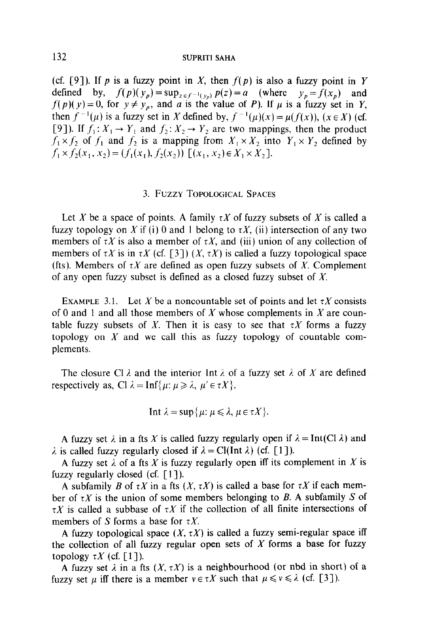(cf. [9]). If p is a fuzzy point in X, then  $f(p)$  is also a fuzzy point in Y defined by,  $f(p)(y_p) = \sup_{z \in f^{-1}(y_p)} p(z) = a$  (where  $y_p = f(x_p)$  and  $f(p)(y) = 0$ , for  $y \neq y_p$ , and a is the value of P). If  $\mu$  is a fuzzy set in Y, then  $f^{-1}(\mu)$  is a fuzzy set in X defined by,  $f^{-1}(\mu)(x) = \mu(f(x))$ ,  $(x \in X)$  (cf. [9]). If  $f_1: X_1 \to Y_1$  and  $f_2: X_2 \to Y_2$  are two mappings, then the product  $f_1 \times f_2$  of  $f_1$  and  $f_2$  is a mapping from  $X_1 \times X_2$  into  $Y_1 \times Y_2$  defined by  $f_1 \times f_2(x_1, x_2) = (f_1(x_1), f_2(x_2))$   $[(x_1, x_2) \in X_1 \times X_2]$ .

## 3. FUZZY TOPOLOGICAL SPACES

Let X be a space of points. A family  $\tau X$  of fuzzy subsets of X is called a fuzzy topology on X if (i) 0 and 1 belong to  $\tau X$ , (ii) intersection of any two members of  $\tau X$  is also a member of  $\tau X$ , and (iii) union of any collection of members of  $\tau X$  is in  $\tau X$  (cf. [3])  $(X, \tau X)$  is called a fuzzy topological space (fts). Members of  $\tau X$  are defined as open fuzzy subsets of X. Complement of any open fuzzy subset is defined as a closed fuzzy subset of  $X$ .

EXAMPLE 3.1. Let X be a noncountable set of points and let  $\tau X$  consists of 0 and 1 and all those members of  $X$  whose complements in  $X$  are countable fuzzy subsets of X. Then it is easy to see that  $\tau X$  forms a fuzzy topology on  $X$  and we call this as fuzzy topology of countable complements.

The closure Cl  $\lambda$  and the interior Int  $\lambda$  of a fuzzy set  $\lambda$  of X are defined respectively as, Cl  $\lambda = \text{Inf}\{\mu : \mu \geq \lambda, \mu' \in \tau X\},\$ 

$$
\text{Int } \lambda = \sup \{ \mu : \mu \leq \lambda, \mu \in \tau X \}.
$$

A fuzzy set  $\lambda$  in a fts X is called fuzzy regularly open if  $\lambda = Int(Cl \lambda)$  and  $\lambda$  is called fuzzy regularly closed if  $\lambda = \text{Cl}(\text{Int }\lambda)$  (cf. [1]).

A fuzzy set  $\lambda$  of a fts X is fuzzy regularly open iff its complement in X is fuzzy regularly closed (cf.  $\lceil 1 \rceil$ ).

A subfamily B of  $\tau X$  in a fts  $(X, \tau X)$  is called a base for  $\tau X$  if each member of  $\tau X$  is the union of some members belonging to B. A subfamily S of  $\tau X$  is called a subbase of  $\tau X$  if the collection of all finite intersections of members of S forms a base for  $\tau X$ .

A fuzzy topological space  $(X, \tau X)$  is called a fuzzy semi-regular space iff the collection of all fuzzy regular open sets of  $X$  forms a base for fuzzy topology  $\tau X$  (cf. [1]).

A fuzzy set  $\lambda$  in a fts  $(X, \tau X)$  is a neighbourhood (or nbd in short) of a fuzzy set  $\mu$  iff there is a member  $v \in \tau X$  such that  $\mu \leq v \leq \lambda$  (cf. [3]).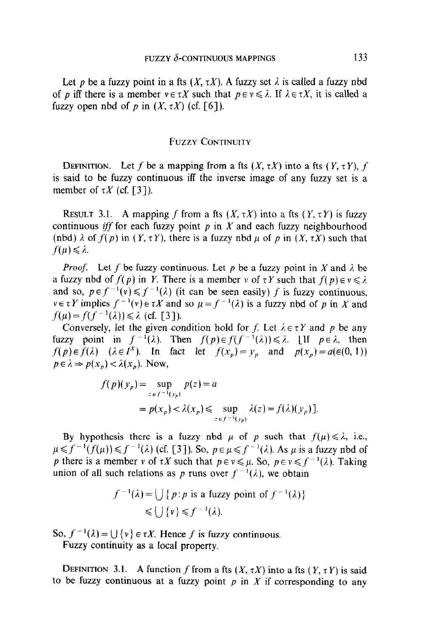Let p be a fuzzy point in a fts  $(X, \tau X)$ . A fuzzy set  $\lambda$  is called a fuzzy nbd of p iff there is a member  $v \in \tau X$  such that  $p \in v \leq \lambda$ . If  $\lambda \in \tau X$ , it is called a fuzzy open nbd of p in  $(X, \tau X)$  (cf. [6]).

## FUZZY CONTINUITY

DEFINITION. Let f be a mapping from a fts  $(X, \tau X)$  into a fts  $(Y, \tau Y)$ , f is said to be fuzzy continuous iff the inverse image of any fuzzy set is a member of  $\tau X$  (cf. [3]).

RESULT 3.1. A mapping f from a fts  $(X, \tau X)$  into a fts  $(Y, \tau Y)$  is fuzzy continuous *iff* for each fuzzy point  $p$  in  $X$  and each fuzzy neighbourhood (nbd)  $\lambda$  of  $f(p)$  in  $(Y, \tau Y)$ , there is a fuzzy nbd  $\mu$  of p in  $(X, \tau X)$  such that  $f(\mu)\leq \lambda$ .

*Proof.* Let f be fuzzy continuous. Let p be a fuzzy point in X and  $\lambda$  be a fuzzy nbd of  $f(p)$  in Y. There is a member v of  $\tau Y$  such that  $f(p) \in v \le \lambda$ . and so,  $p \in f^{-1}(v) \leq f^{-1}(\lambda)$  (it can be seen easily) f is fuzzy continuous,  $v \in \tau Y$  implies  $f^{-1}(v) \in \tau X$  and so  $\mu = f^{-1}(\lambda)$  is a fuzzy nbd of p in X and  $f(\mu)=f(f^{-1}(\lambda))\leq \lambda$  (cf. [3]).

Conversely, let the given condition hold for f. Let  $\lambda \in \tau Y$  and p be any fuzzy point in  $f^{-1}(\lambda)$ . Then  $f(p) \in f(f^{-1}(\lambda)) \leq \lambda$ . [If  $p \in \lambda$ , then  $f(p) \in f(\lambda)$   $(\lambda \in I^x)$ . In fact let  $f(x_p) = y_p$  and  $p(x_p) = a(\epsilon(0, 1))$  $p \in \lambda \Rightarrow p(x_p) < \lambda(x_p)$ . Now,

$$
f(p)(y_p) = \sup_{z \in f^{-1}(y_p)} p(z) = a
$$
  
=  $p(x_p) < \lambda(x_p) \le \sup_{z \in f^{-1}(y_p)} \lambda(z) = f(\lambda)(y_p)$ .

By hypothesis there is a fuzzy nbd  $\mu$  of p such that  $f(\mu) \leq \lambda$ , i.e.,  $\mu \leq f^{-1}(f(\mu)) \leq f^{-1}(\lambda)$  (cf. [3]). So,  $p \in \mu \leq f^{-1}(\lambda)$ . As  $\mu$  is a fuzzy nbd of p there is a member v of  $\tau X$  such that  $p \in v \leq \mu$ . So,  $p \in v \leq f^{-1}(\lambda)$ . Taking union of all such relations as p runs over  $f^{-1}(\lambda)$ , we obtain

$$
f^{-1}(\lambda) = \bigcup \{ p : p \text{ is a fuzzy point of } f^{-1}(\lambda) \} \le \bigcup \{ v \} \le f^{-1}(\lambda).
$$

So,  $f^{-1}(\lambda) = \bigcup \{v\} \in \tau X$ . Hence f is fuzzy continuous.

Fuzzy continuity as a local property.

DEFINITION 3.1. A function f from a fts  $(X, \tau X)$  into a fts  $(Y, \tau Y)$  is said to be fuzzy continuous at a fuzzy point  $p$  in  $X$  if corresponding to any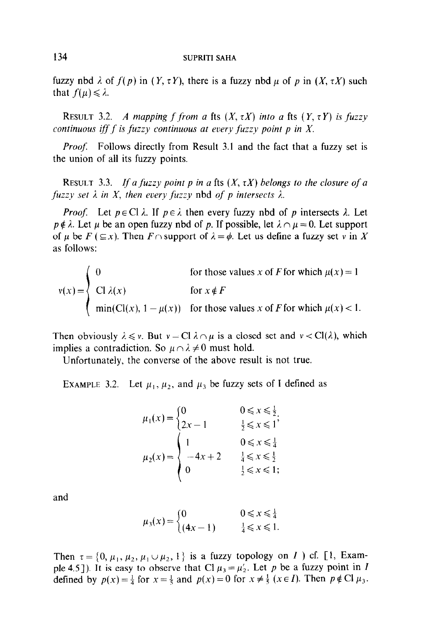fuzzy nbd  $\lambda$  of  $f(p)$  in  $(Y, \tau Y)$ , there is a fuzzy nbd  $\mu$  of p in  $(X, \tau X)$  such that  $f(\mu) \leq \lambda$ .

RESULT 3.2. A mapping f from a fts  $(X, \tau X)$  into a fts  $(Y, \tau Y)$  is fuzzy continuous iff  $f$  is fuzzy continuous at every fuzzy point  $p$  in  $X$ .

*Proof.* Follows directly from Result 3.1 and the fact that a fuzzy set is the union of all its fuzzy points.

RESULT 3.3. If a fuzzy point p in a fts  $(X, \tau X)$  belongs to the closure of a fuzzy set  $\lambda$  in X, then every fuzzy nbd of p intersects  $\lambda$ .

*Proof.* Let  $p \in Cl \lambda$ . If  $p \in \lambda$  then every fuzzy nbd of p intersects  $\lambda$ . Let  $p \notin \lambda$ . Let  $\mu$  be an open fuzzy nbd of p. If possible, let  $\lambda \cap \mu = 0$ . Let support of  $\mu$  be  $F$  ( $\subseteq x$ ). Then  $F \cap$  support of  $\lambda = \phi$ . Let us define a fuzzy set v in X as follows:

$$
v(x) = \begin{cases} 0 & \text{for those values } x \text{ of } F \text{ for which } \mu(x) = 1 \\ \text{Cl } \lambda(x) & \text{for } x \notin F \\ \min(\text{Cl}(x), 1 - \mu(x)) & \text{for those values } x \text{ of } F \text{ for which } \mu(x) < 1. \end{cases}
$$

Then obviously  $\lambda \leq v$ . But  $v = \text{Cl } \lambda \cap \mu$  is a closed set and  $v < \text{Cl}(\lambda)$ , which implies a contradiction. So  $\mu \cap \lambda \neq 0$  must hold.

Unfortunately, the converse of the above result is not true.

EXAMPLE 3.2. Let  $\mu_1, \mu_2$ , and  $\mu_3$  be fuzzy sets of I defined as

$$
\mu_1(x) = \begin{cases}\n0 & 0 \le x \le \frac{1}{2}, \\
2x - 1 & \frac{1}{2} \le x \le 1\n\end{cases}
$$
\n
$$
\mu_2(x) = \begin{cases}\n1 & 0 \le x \le \frac{1}{4} \\
-4x + 2 & \frac{1}{4} \le x \le \frac{1}{2} \\
0 & \frac{1}{2} \le x \le 1;\n\end{cases}
$$

and

$$
\mu_3(x) = \begin{cases} 0 & 0 \leq x \leq \frac{1}{4} \\ (4x - 1) & \frac{1}{4} \leq x \leq 1. \end{cases}
$$

Then  $\tau = \{0, \mu_1, \mu_2, \mu_1 \cup \mu_2, 1 \}$  is a fuzzy topology on I ) cf. [1, Example 4.5]). It is easy to observe that Cl  $\mu_3 = \mu'_2$ . Let p be a fuzzy point in I defined by  $p(x) = \frac{1}{4}$  for  $x = \frac{1}{5}$  and  $p(x) = 0$  for  $x \neq \frac{1}{5}$  ( $x \in I$ ). Then  $p \notin Cl \mu_3$ .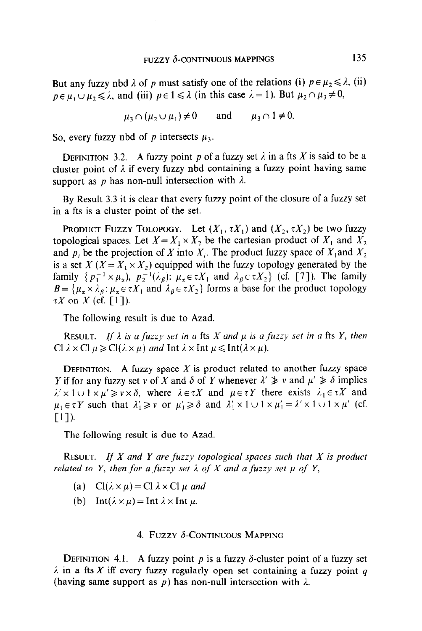But any fuzzy nbd  $\lambda$  of p must satisfy one of the relations (i)  $p \in \mu_2 \le \lambda$ , (ii)  $p \in \mu_1 \cup \mu_2 \leq \lambda$ , and (iii)  $p \in 1 \leq \lambda$  (in this case  $\lambda = 1$ ). But  $\mu_2 \cap \mu_3 \neq 0$ ,

$$
\mu_3 \cap (\mu_2 \cup \mu_1) \neq 0
$$
 and  $\mu_3 \cap 1 \neq 0$ .

So, every fuzzy nbd of p intersects  $\mu_3$ .

DEFINITION 3.2. A fuzzy point p of a fuzzy set  $\lambda$  in a fts X is said to be a cluster point of  $\lambda$  if every fuzzy nbd containing a fuzzy point having same support as p has non-null intersection with  $\lambda$ .

By Result 3.3 it is clear that every fuzzy point of the closure of a fuzzy set in a fts is a cluster point of the set.

PRODUCT FUZZY TOLOPOGY. Let  $(X_1, \tau X_1)$  and  $(X_2, \tau X_2)$  be two fuzzy topological spaces. Let  $X = X_1 \times X_2$  be the cartesian product of  $X_1$  and  $X_2$ and  $p_i$  be the projection of X into  $X_i$ . The product fuzzy space of  $X_i$  and  $X_2$ is a set  $X$  ( $X = X_1 \times X_2$ ) equipped with the fuzzy topology generated by the family  $\{p_1^{-1} \times \mu_x, p_2^{-1}(\lambda_\beta): \mu_x \in \tau X_1 \text{ and } \lambda_\beta \in \tau X_2\}$  (cf. [7]). The family  $B = \{\mu_\alpha \times \lambda_\beta : \mu_\alpha \in \tau X_1 \text{ and } \lambda_\beta \in \tau X_2\}$  forms a base for the product topology  $\tau X$  on X (cf. [1]).

The following result is due to Azad.

RESULT. If  $\lambda$  is a fuzzy set in a fts X and  $\mu$  is a fuzzy set in a fts Y, then Cl  $\lambda \times$  Cl  $\mu \ge Cl(\lambda \times \mu)$  and Int  $\lambda \times$  Int  $\mu \le Int(\lambda \times \mu)$ .

DEFINITION. A fuzzy space X is product related to another fuzzy space Y if for any fuzzy set v of X and  $\delta$  of Y whenever  $\lambda' \geq v$  and  $\mu' \geq \delta$  implies  $\lambda' \times 1 \cup 1 \times \mu' \geq v \times \delta$ , where  $\lambda \in \tau X$  and  $\mu \in \tau Y$  there exists  $\lambda_1 \in \tau X$  and  $\mu_1 \in \tau Y$  such that  $\lambda'_1 \geq v$  or  $\mu'_1 \geq \delta$  and  $\lambda'_1 \times 1 \cup 1 \times \mu'_1 = \lambda' \times 1 \cup 1 \times \mu'$  (cf.  $[1]$ ).

The following result is due to Azad.

**RESULT.** If X and Y are fuzzy topological spaces such that X is product related to Y, then for a fuzzy set  $\lambda$  of X and a fuzzy set  $\mu$  of Y,

- (a)  $Cl(\lambda \times \mu) = Cl(\lambda \times Cl(\mu)$  and
- (b) Int( $\lambda \times \mu$ ) = Int  $\lambda \times$  Int  $\mu$ .

## 4. FUZZY  $\delta$ -CONTINUOUS MAPPING

**DEFINITION** 4.1. A fuzzy point p is a fuzzy  $\delta$ -cluster point of a fuzzy set  $\lambda$  in a fts X iff every fuzzy regularly open set containing a fuzzy point q (having same support as  $p$ ) has non-null intersection with  $\lambda$ .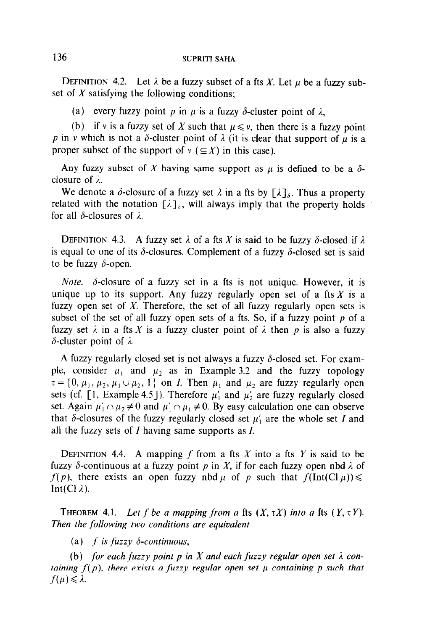DEFINITION 4.2. Let  $\lambda$  be a fuzzy subset of a fts X. Let  $\mu$  be a fuzzy subset of  $X$  satisfying the following conditions;

(a) every fuzzy point p in  $\mu$  is a fuzzy  $\delta$ -cluster point of  $\lambda$ ,

(b) if v is a fuzzy set of X such that  $\mu \leq v$ , then there is a fuzzy point p in v which is not a  $\delta$ -cluster point of  $\lambda$  (it is clear that support of  $\mu$  is a proper subset of the support of  $v \in X$  in this case).

Any fuzzy subset of X having same support as  $\mu$  is defined to be a  $\delta$ closure of  $\lambda$ .

We denote a  $\delta$ -closure of a fuzzy set  $\lambda$  in a fts by  $[\lambda]_{\delta}$ . Thus a property related with the notation  $[\lambda]_{\delta}$ , will always imply that the property holds for all  $\delta$ -closures of  $\lambda$ .

DEFINITION 4.3. A fuzzy set  $\lambda$  of a fts X is said to be fuzzy  $\delta$ -closed if  $\lambda$ is equal to one of its  $\delta$ -closures. Complement of a fuzzy  $\delta$ -closed set is said to be fuzzy  $\delta$ -open.

*Note.*  $\delta$ -closure of a fuzzy set in a fts is not unique. However, it is unique up to its support. Any fuzzy regularly open set of a fts  $X$  is a fuzzy open set of  $X$ . Therefore, the set of all fuzzy regularly open sets is subset of the set of all fuzzy open sets of a fts. So, if a fuzzy point  $p$  of a fuzzy set  $\lambda$  in a fts X is a fuzzy cluster point of  $\lambda$  then p is also a fuzzy  $\delta$ -cluster point of  $\lambda$ .

A fuzzy regularly closed set is not always a fuzzy  $\delta$ -closed set. For example, consider  $\mu_1$  and  $\mu_2$  as in Example 3.2 and the fuzzy topology  $\tau = \{0, \mu_1, \mu_2, \mu_1 \cup \mu_2, 1\}$  on *I*. Then  $\mu_1$  and  $\mu_2$  are fuzzy regularly open sets (cf. [1, Example 4.5]). Therefore  $\mu'_1$  and  $\mu'_2$  are fuzzy regularly closed set. Again  $\mu'_1 \cap \mu_2 \neq 0$  and  $\mu'_1 \cap \mu_1 \neq 0$ . By easy calculation one can observe that  $\delta$ -closures of the fuzzy regularly closed set  $\mu'_1$  are the whole set I and all the fuzzy sets of  $I$  having same supports as  $I$ .

DEFINITION 4.4. A mapping f from a fts X into a fts Y is said to be fuzzy  $\delta$ -continuous at a fuzzy point p in X, if for each fuzzy open nbd  $\lambda$  of  $f(p)$ , there exists an open fuzzy nbd  $\mu$  of p such that  $f(\text{Int}(Cl \mu)) \leq$ Int(Cl $\lambda$ ).

THEOREM 4.1. Let f be a mapping from a fts  $(X, \tau X)$  into a fts  $(Y, \tau Y)$ . Then the following two conditions are equivalent

(a) f is fuzzy  $\delta$ -continuous,

(b) for each fuzzy point p in X and each fuzzy regular open set  $\lambda$  containing  $f(p)$ , there exists a fuzzy regular open set  $\mu$  containing p such that  $f(\mu) \leq \lambda$ .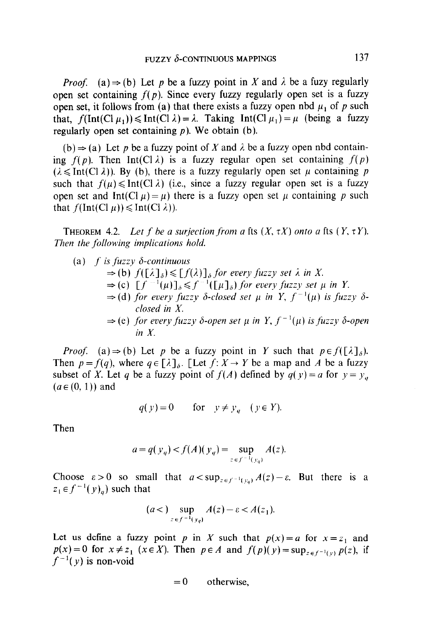*Proof.* (a)  $\Rightarrow$  (b) Let p be a fuzzy point in X and  $\lambda$  be a fuzy regularly open set containing  $f(p)$ . Since every fuzzy regularly open set is a fuzzy open set, it follows from (a) that there exists a fuzzy open nbd  $\mu_1$  of p such that,  $f(\text{Int}(Cl \mu_1)) \leq \text{Int}(Cl \lambda) = \lambda$ . Taking  $\text{Int}(Cl \mu_1) = \mu$  (being a fuzzy regularly open set containing  $p$ ). We obtain (b).

(b)  $\Rightarrow$  (a) Let p be a fuzzy point of X and  $\lambda$  be a fuzzy open nbd containing  $f(p)$ . Then Int(Cl  $\lambda$ ) is a fuzzy regular open set containing  $f(p)$  $(\lambda \leq Int(C|\lambda))$ . By (b), there is a fuzzy regularly open set  $\mu$  containing p such that  $f(\mu) \leq \text{Int}(C_1 \lambda)$  (i.e., since a fuzzy regular open set is a fuzzy open set and Int(Cl  $\mu$ ) there is a fuzzy open set  $\mu$  containing p such that  $f(\text{Int}(\text{Cl }\mu)) \leq \text{Int}(\text{Cl }\lambda)).$ 

**THEOREM 4.2.** Let f be a surjection from a fts  $(X, \tau X)$  onto a fts  $(Y, \tau Y)$ . Then the following implications hold.

(a) 
$$
f
$$
 is fuzzy  $\delta$ -continuous  
\n $\Rightarrow$  (b)  $f([\lambda]_{\delta}) \le [f(\lambda)]_{\delta}$  for every fuzzy set  $\lambda$  in  $X$ .  
\n $\Rightarrow$  (c)  $[f^{-1}(\mu)]_{\delta} \le f^{-1}([\mu]_{\delta})$  for every fuzzy set  $\mu$  in  $Y$ .  
\n $\Rightarrow$  (d) for every fuzzy  $\delta$ -closed set  $\mu$  in  $Y$ ,  $f^{-1}(\mu)$  is fuzzy  $\delta$ -closed in  $X$ .  
\n $\Rightarrow$  (e) for every fuzzy  $\delta$ -open set  $\mu$  in  $Y$ ,  $f^{-1}(\mu)$  is fuzzy  $\delta$ -open  
in  $X$ .

*Proof.* (a)  $\Rightarrow$  (b) Let p be a fuzzy point in Y such that  $p \in f([\lambda]_{\delta})$ . Then  $p = f(q)$ , where  $q \in [\lambda]_{{\delta}}$ . [Let  $f: X \to Y$  be a map and A be a fuzzy subset of X. Let q be a fuzzy point of  $f(A)$  defined by  $g(y) = a$  for  $y = y_a$  $(a \in (0, 1))$  and

$$
q(y) = 0 \qquad \text{for} \quad y \neq y_a \quad (y \in Y).
$$

Then

$$
a = q(y_q) < f(A)(y_q) = \sup_{z \in f^{-1}(y_q)} A(z).
$$

Choose  $\varepsilon > 0$  so small that  $a < \sup_{z \in f^{-1}(y_a)} A(z) - \varepsilon$ . But there is a  $z_1 \in f^{-1}(y)_q$ ) such that

$$
(a<)\sup_{z\in f^{-1}(y_q)}A(z)-\varepsilon < A(z_1).
$$

Let us define a fuzzy point p in X such that  $p(x) = a$  for  $x = z<sub>1</sub>$  and  $p(x)=0$  for  $x \neq z_1$  ( $x \in X$ ). Then  $p \in A$  and  $f(p)(y)=\sup_{z \in f^{-1}(y)} p(z)$ , if  $f^{-1}(y)$  is non-void

$$
= 0
$$
 otherwise,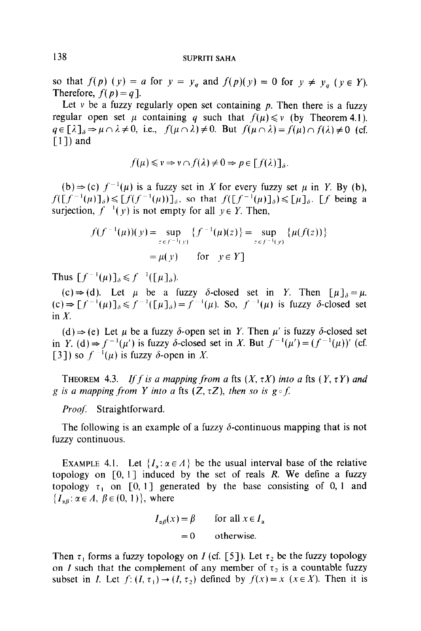so that  $f(p)(y) = a$  for  $y = y_q$  and  $f(p)(y) = 0$  for  $y \neq y_q$  ( $y \in Y$ ). Therefore,  $f(p) = q$ ].

Let v be a fuzzy regularly open set containing  $p$ . Then there is a fuzzy regular open set  $\mu$  containing q such that  $f(\mu) \leq \nu$  (by Theorem 4.1).  $q \in [\lambda]_s \Rightarrow \mu \cap \lambda \neq 0$ , i.e.,  $f(\mu \cap \lambda) \neq 0$ . But  $f(\mu \cap \lambda) = f(\mu) \cap f(\lambda) \neq 0$  (cf.  $\lceil 1 \rceil$ ) and

$$
f(\mu) \leq v \Rightarrow v \cap f(\lambda) \neq 0 \Rightarrow p \in [f(\lambda)]_{\delta}.
$$

(b)  $\Rightarrow$  (c)  $f^{-1}(\mu)$  is a fuzzy set in X for every fuzzy set  $\mu$  in Y. By (b),  $f([f^{-1}(\mu)]_{\delta}) \leq [f(f^{-1}(\mu))]_{\delta}$ , so that  $f([f^{-1}(\mu)]_{\delta}) \leq [\mu]_{\delta}$ . [f being a surjection,  $f^{-1}(y)$  is not empty for all  $y \in Y$ . Then,

$$
f(f^{-1}(\mu))(y) = \sup_{z \in f^{-1}(y)} \{f^{-1}(\mu)(z)\} = \sup_{z \in f^{-1}(y)} \{\mu(f(z))\}
$$

$$
= \mu(y) \quad \text{for} \quad y \in Y
$$

Thus  $\lceil f^{-1}(\mu)\rceil_{\delta} \leq f^{-1}(\lceil \mu \rceil_{\delta}).$ 

(c)  $\Rightarrow$  (d). Let  $\mu$  be a fuzzy  $\delta$ -closed set in Y. Then  $[\mu]_{\delta} = \mu$ .  $(c) \Rightarrow [f^{-1}(\mu)]_{\delta} \leq f^{-1}([\mu])_{\delta} = f^{-1}(\mu)$ . So,  $f^{-1}(\mu)$  is fuzzy  $\delta$ -closed set in  $X$ .

(d)  $\Rightarrow$  (e) Let  $\mu$  be a fuzzy  $\delta$ -open set in Y. Then  $\mu'$  is fuzzy  $\delta$ -closed set in Y. (d)  $\Rightarrow$  f<sup>-1</sup>(u') is fuzzy  $\delta$ -closed set in X. But  $f^{-1}(\mu') = (f^{-1}(\mu))'$  (cf. [3]) so  $f^{-1}(\mu)$  is fuzzy  $\delta$ -open in X.

THEOREM 4.3. If f is a mapping from a fts  $(X, \tau X)$  into a fts  $(Y, \tau Y)$  and g is a mapping from Y into a fts  $(Z, \tau Z)$ , then so is  $g \circ f$ .

Proof. Straightforward.

The following is an example of a fuzzy  $\delta$ -continuous mapping that is not fuzzy continuous.

EXAMPLE 4.1. Let  $\{I_{\alpha}:\alpha \in A\}$  be the usual interval base of the relative topology on  $[0, 1]$  induced by the set of reals R. We define a fuzzy topology  $\tau_1$  on [0, 1] generated by the base consisting of 0, 1 and  $\{I_{\alpha\beta}: \alpha \in A, \beta \in (0, 1)\}\,$ , where

> $I_{\alpha\beta}(x) = \beta$  for all  $x \in I_{\alpha}$  $=0$  otherwise.

Then  $\tau_1$  forms a fuzzy topology on I (cf. [5]). Let  $\tau_2$  be the fuzzy topology on I such that the complement of any member of  $\tau_2$  is a countable fuzzy subset in *I*. Let  $f: (I, \tau_1) \rightarrow (I, \tau_2)$  defined by  $f(x) = x$  ( $x \in X$ ). Then it is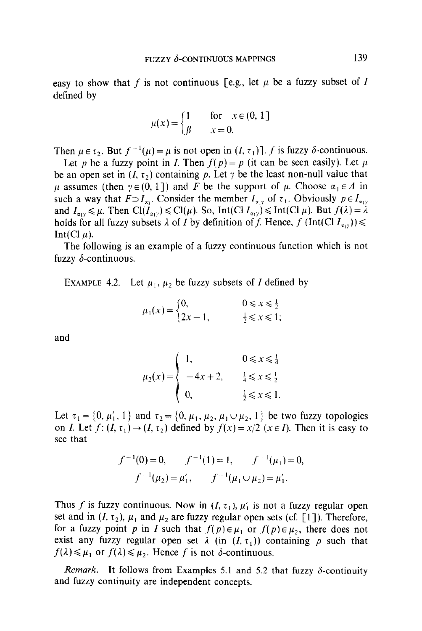easy to show that f is not continuous [e.g., let  $\mu$  be a fuzzy subset of I defined by

$$
\mu(x) = \begin{cases} 1 & \text{for } x \in (0, 1] \\ \beta & x = 0. \end{cases}
$$

Then  $\mu \in \tau_2$ . But  $f^{-1}(\mu) = \mu$  is not open in  $(I, \tau_1)$ . f is fuzzy  $\delta$ -continuous.

Let p be a fuzzy point in I. Then  $f(p) = p$  (it can be seen easily). Let  $\mu$ be an open set in  $(I, \tau_2)$  containing p. Let  $\gamma$  be the least non-null value that  $\mu$  assumes (then  $\gamma \in (0, 1]$ ) and F be the support of  $\mu$ . Choose  $\alpha_1 \in A$  in such a way that  $F \supset I_{x_1}$ . Consider the member  $I_{x_1}$  of  $\tau_1$ . Obviously  $p \in I_{x_1}$ ; and  $I_{\alpha_{1}} \leq \mu$ . Then  $Cl(I_{\alpha_{1}}) \leq Cl(\mu)$ . So, Int(Cl  $I_{\alpha_{1}}$ )  $\leq$  Int(Cl  $\mu$ ). But  $f(\lambda) = \lambda$ holds for all fuzzy subsets  $\lambda$  of I by definition of f. Hence, f (Int(Cl  $I_{x,y}$ ))  $\leq$ Int(Cl $\mu$ ).

The following is an example of a fuzzy continuous function which is not fuzzy  $\delta$ -continuous.

EXAMPLE 4.2. Let  $\mu_1, \mu_2$  be fuzzy subsets of I defined by

$$
\mu_1(x) = \begin{cases} 0, & 0 \le x \le \frac{1}{2} \\ 2x - 1, & \frac{1}{2} \le x \le 1; \end{cases}
$$

and  

$$
\mu_2(x) = \begin{cases} 1, & 0 \le x \le \frac{1}{4} \\ -4x + 2, & \frac{1}{4} \le x \le \frac{1}{2} \\ 0, & \frac{1}{2} \le x \le 1. \end{cases}
$$

Let  $\tau_1 = \{0, \mu'_1, 1\}$  and  $\tau_2 = \{0, \mu_1, \mu_2, \mu_1 \cup \mu_2, 1\}$  be two fuzzy topologies on I. Let  $f: (I, \tau_1) \rightarrow (I, \tau_2)$  defined by  $f(x) = x/2$  ( $x \in I$ ). Then it is easy to see that

$$
f^{-1}(0) = 0,
$$
  $f^{-1}(1) = 1,$   $f^{-1}(\mu_1) = 0,$   
 $f^{-1}(\mu_2) = \mu'_1,$   $f^{-1}(\mu_1 \cup \mu_2) = \mu'_1.$ 

Thus f is fuzzy continuous. Now in  $(I, \tau_1)$ ,  $\mu'_1$  is not a fuzzy regular open set and in  $(I, \tau_2)$ ,  $\mu_1$  and  $\mu_2$  are fuzzy regular open sets (cf. [1]). Therefore, for a fuzzy point p in I such that  $f(p) \in \mu_1$  or  $f(p) \in \mu_2$ , there does not exist any fuzzy regular open set  $\lambda$  (in  $(I, \tau_1)$ ) containing p such that  $f(\lambda) \leq \mu_1$  or  $f(\lambda) \leq \mu_2$ . Hence f is not  $\delta$ -continuous.

Remark. It follows from Examples 5.1 and 5.2 that fuzzy  $\delta$ -continuity and fuzzy continuity are independent concepts.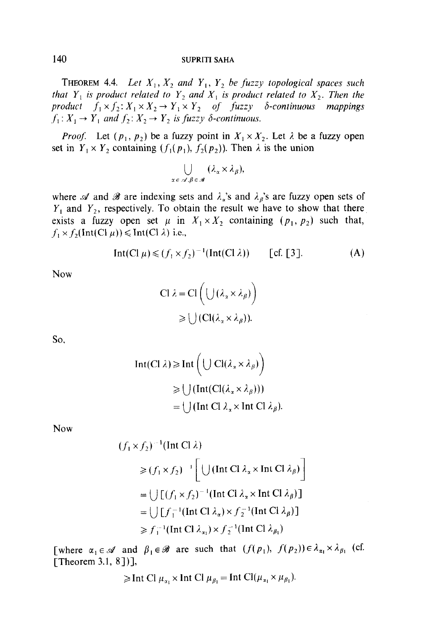**THEOREM 4.4.** Let  $X_1, X_2$  and  $Y_1, Y_2$  be fuzzy topological spaces such that  $Y_1$  is product related to  $Y_2$  and  $X_1$  is product related to  $X_2$ . Then the product  $f_1 \times f_2$ :  $X_1 \times X_2 \to Y_1 \times Y_2$  of fuzzy  $\delta$ -continuous mappings  $f_1: X_1 \to Y_1$  and  $f_2: X_2 \to Y_2$  is fuzzy  $\delta$ -continuous.

*Proof.* Let  $(p_1, p_2)$  be a fuzzy point in  $X_1 \times X_2$ . Let  $\lambda$  be a fuzzy open set in  $Y_1 \times Y_2$  containing  $(f_1(p_1), f_2(p_2))$ . Then  $\lambda$  is the union

$$
\bigcup_{\alpha \in \mathcal{A}, \beta \in \mathcal{B}} (\lambda_{\alpha} \times \lambda_{\beta}),
$$

where  $\mathscr A$  and  $\mathscr B$  are indexing sets and  $\lambda_a$ 's and  $\lambda_b$ 's are fuzzy open sets of  $Y_1$  and  $Y_2$ , respectively. To obtain the result we have to show that there exists a fuzzy open set  $\mu$  in  $X_1 \times X_2$  containing  $(p_1, p_2)$  such that,  $f_1 \times f_2(\text{Int}(\text{Cl }\mu)) \leq \text{Int}(\text{Cl }\lambda)$  i.e.,

$$
Int(Cl \mu) \leq (f_1 \times f_2)^{-1}(Int(Cl \lambda)) \qquad [cf. [3]. \tag{A}
$$

Now

$$
\text{Cl } \lambda = \text{Cl} \left( \bigcup (\lambda_x \times \lambda_\beta) \right)
$$
  
\n
$$
\geq \bigcup (\text{Cl}(\lambda_x \times \lambda_\beta)).
$$

so,

$$
\begin{aligned} \text{Int}(\text{Cl }\lambda) &\geq \text{Int}\left(\bigcup \text{Cl}(\lambda_{\alpha} \times \lambda_{\beta})\right) \\ &\geq \bigcup \left(\text{Int}(\text{Cl}(\lambda_{\alpha} \times \lambda_{\beta}))\right) \\ &= \bigcup \left(\text{Int } \text{Cl }\lambda_{\alpha} \times \text{Int } \text{Cl }\lambda_{\beta}\right). \end{aligned}
$$

Now

$$
(f_1 \times f_2)^{-1}(\text{Int Cl }\lambda)
$$
  
\n
$$
\geq (f_1 \times f_2)^{-1} \Big[ \bigcup (\text{Int Cl }\lambda_x \times \text{Int Cl }\lambda_\beta) \Big]
$$
  
\n
$$
= \bigcup \big[ (f_1 \times f_2)^{-1}(\text{Int Cl }\lambda_x \times \text{Int Cl }\lambda_\beta) \big]
$$
  
\n
$$
= \bigcup \big[ f_1^{-1}(\text{Int Cl }\lambda_x) \times f_2^{-1}(\text{Int Cl }\lambda_\beta) \big]
$$
  
\n
$$
\geq f_1^{-1}(\text{Int Cl }\lambda_x) \times f_2^{-1}(\text{Int Cl }\lambda_{\beta_1})
$$

[where  $\alpha_1 \in \mathcal{A}$  and  $\beta_1 \in \mathcal{B}$  are such that  $(f(p_1), f(p_2)) \in \lambda_{\alpha_1} \times \lambda_{\beta_1}$  (cf. [Theorem 3.1, 8])],

$$
\geq
$$
 Int Cl  $\mu_{\alpha_1} \times$  Int Cl  $\mu_{\beta_1} =$  Int Cl $(\mu_{\alpha_1} \times \mu_{\beta_1}).$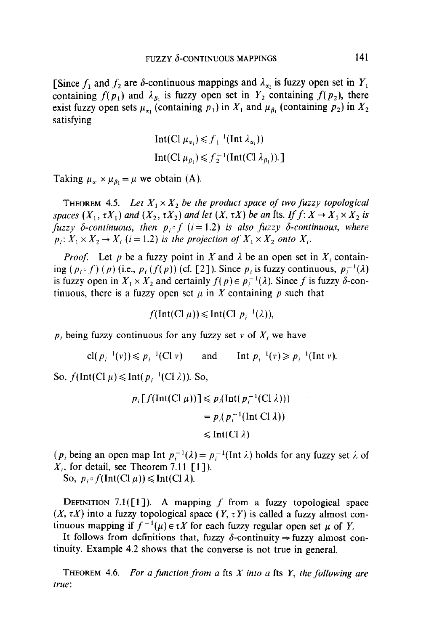[Since  $f_1$  and  $f_2$  are  $\delta$ -continuous mappings and  $\lambda_{\alpha_1}$  is fuzzy open set in  $Y_1$ containing  $f(p_1)$  and  $\lambda_{\beta_1}$  is fuzzy open set in  $Y_2$  containing  $f(p_2)$ , there exist fuzzy open sets  $\mu_{\alpha_1}$  (containing  $p_1$ ) in  $X_1$  and  $\mu_{\beta_1}$  (containing  $p_2$ ) in  $X_2$ satisfying

$$
\begin{aligned} \n\text{Int}(\text{Cl } \mu_{\alpha_1}) &\leq f_1^{-1}(\text{Int } \lambda_{\alpha_1}))\\ \n\text{Int}(\text{Cl } \mu_{\beta_1}) &\leq f_2^{-1}(\text{Int}(\text{Cl } \lambda_{\beta_1})). \n\end{aligned}
$$

Taking  $\mu_{\alpha_1} \times \mu_{\beta_1} = \mu$  we obtain (A).

THEOREM 4.5. Let  $X_1 \times X_2$  be the product space of two fuzzy topological spaces  $(X_1, \tau X_1)$  and  $(X_2, \tau X_2)$  and let  $(X, \tau X)$  be an fts. If  $f: X \to X_1 \times X_2$  is fuzzy  $\delta$ -continuous, then  $p_i \circ f$  (i = 1.2) is also fuzzy  $\delta$ -continuous, where  $p_i: X_1 \times X_2 \to X_i$  (i = 1.2) is the projection of  $X_1 \times X_2$  onto  $X_i$ .

*Proof.* Let p be a fuzzy point in X and  $\lambda$  be an open set in X<sub>i</sub> containing  $(p_i \circ f)(p)$  (i.e.,  $p_i (f(p))$  (cf. [2]). Since  $p_i$  is fuzzy continuous,  $p_i^{-1}(\lambda)$ is fuzzy open in  $X_1 \times X_2$  and certainly  $f(p) \in p_i^{-1}(\lambda)$ . Since f is fuzzy  $\delta$ -continuous, there is a fuzzy open set  $\mu$  in X containing p such that

$$
f(\text{Int}(\text{Cl }\mu)) \leq \text{Int}(\text{Cl }\,p_i^{-1}(\lambda)),
$$

 $p_i$ , being fuzzy continuous for any fuzzy set v of  $X_i$ , we have

cl $(p_i^{-1}(v)) \leq p_i^{-1}(C|v)$  and Int  $p_i^{-1}(v) \geq p_i^{-1}(Int v)$ .

So,  $f(\text{Int}(Cl \mu) \leq \text{Int}(p_i^{-1}(Cl \lambda))$ . So,

$$
p_i[f(\text{Int}(\text{Cl }\mu))] \leq p_i(\text{Int}(p_i^{-1}(\text{Cl }\lambda)))
$$
  
=  $p_i(p_i^{-1}(\text{Int }\text{Cl }\lambda))$   
 $\leq \text{Int}(\text{Cl }\lambda)$ 

( $p_i$  being an open map Int  $p_i^{-1}(\lambda) = p_i^{-1}$ (Int  $\lambda$ ) holds for any fuzzy set  $\lambda$  of  $X_i$ , for detail, see Theorem 7.11 [1]).

So,  $p_i \circ f(\text{Int}(Cl \mu)) \leq \text{Int}(Cl \lambda)$ .

DEFINITION 7.1( $[1]$ ). A mapping f from a fuzzy topological space  $(X, \tau X)$  into a fuzzy topological space  $(Y, \tau Y)$  is called a fuzzy almost continuous mapping if  $f^{-1}(\mu) \in \tau X$  for each fuzzy regular open set  $\mu$  of Y.

It follows from definitions that, fuzzy  $\delta$ -continuity  $\Rightarrow$  fuzzy almost continuity. Example 4.2 shows that the converse is not true in general.

THEOREM 4.6. For a function from a fts  $X$  into a fts  $Y$ , the following are true: